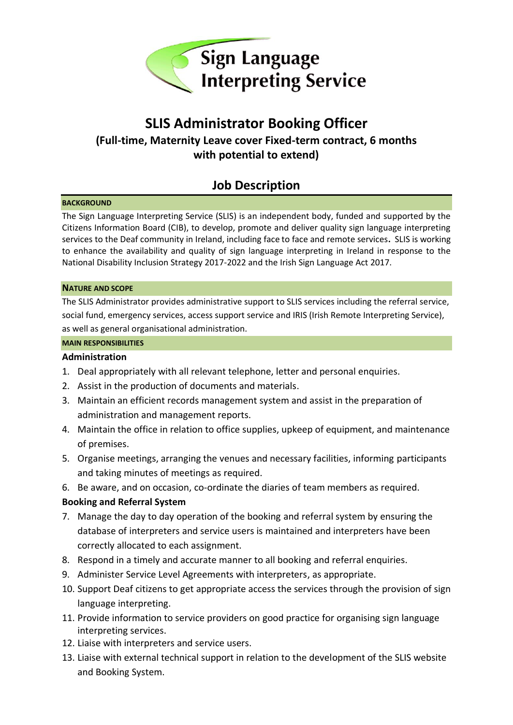

# **SLIS Administrator Booking Officer (Full-time, Maternity Leave cover Fixed-term contract, 6 months with potential to extend)**

## **Job Description**

#### **BACKGROUND**

The Sign Language Interpreting Service (SLIS) is an independent body, funded and supported by the Citizens Information Board (CIB), to develop, promote and deliver quality sign language interpreting services to the Deaf community in Ireland, including face to face and remote services**.** SLIS is working to enhance the availability and quality of sign language interpreting in Ireland in response to the National Disability Inclusion Strategy 2017-2022 and the Irish Sign Language Act 2017.

#### **NATURE AND SCOPE**

The SLIS Administrator provides administrative support to SLIS services including the referral service, social fund, emergency services, access support service and IRIS (Irish Remote Interpreting Service), as well as general organisational administration.

#### **MAIN RESPONSIBILITIES**

#### **Administration**

- 1. Deal appropriately with all relevant telephone, letter and personal enquiries.
- 2. Assist in the production of documents and materials.
- 3. Maintain an efficient records management system and assist in the preparation of administration and management reports.
- 4. Maintain the office in relation to office supplies, upkeep of equipment, and maintenance of premises.
- 5. Organise meetings, arranging the venues and necessary facilities, informing participants and taking minutes of meetings as required.
- 6. Be aware, and on occasion, co-ordinate the diaries of team members as required.

### **Booking and Referral System**

- 7. Manage the day to day operation of the booking and referral system by ensuring the database of interpreters and service users is maintained and interpreters have been correctly allocated to each assignment.
- 8. Respond in a timely and accurate manner to all booking and referral enquiries.
- 9. Administer Service Level Agreements with interpreters, as appropriate.
- 10. Support Deaf citizens to get appropriate access the services through the provision of sign language interpreting.
- 11. Provide information to service providers on good practice for organising sign language interpreting services.
- 12. Liaise with interpreters and service users.
- 13. Liaise with external technical support in relation to the development of the SLIS website and Booking System.